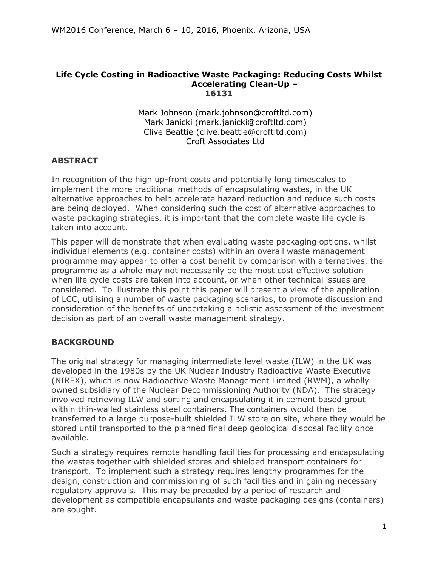#### **Life Cycle Costing in Radioactive Waste Packaging: Reducing Costs Whilst Accelerating Clean-Up – 16131**

Mark Johnson (mark.johnson@croftltd.com) Mark Janicki (mark.janicki@croftltd.com) Clive Beattie (clive.beattie@croftltd.com) Croft Associates Ltd

# **ABSTRACT**

In recognition of the high up-front costs and potentially long timescales to implement the more traditional methods of encapsulating wastes, in the UK alternative approaches to help accelerate hazard reduction and reduce such costs are being deployed. When considering such the cost of alternative approaches to waste packaging strategies, it is important that the complete waste life cycle is taken into account.

This paper will demonstrate that when evaluating waste packaging options, whilst individual elements (e.g. container costs) within an overall waste management programme may appear to offer a cost benefit by comparison with alternatives, the programme as a whole may not necessarily be the most cost effective solution when life cycle costs are taken into account, or when other technical issues are considered. To illustrate this point this paper will present a view of the application of LCC, utilising a number of waste packaging scenarios, to promote discussion and consideration of the benefits of undertaking a holistic assessment of the investment decision as part of an overall waste management strategy.

# **BACKGROUND**

The original strategy for managing intermediate level waste (ILW) in the UK was developed in the 1980s by the UK Nuclear Industry Radioactive Waste Executive (NIREX), which is now Radioactive Waste Management Limited (RWM), a wholly owned subsidiary of the Nuclear Decommissioning Authority (NDA). The strategy involved retrieving ILW and sorting and encapsulating it in cement based grout within thin-walled stainless steel containers. The containers would then be transferred to a large purpose-built shielded ILW store on site, where they would be stored until transported to the planned final deep geological disposal facility once available.

Such a strategy requires remote handling facilities for processing and encapsulating the wastes together with shielded stores and shielded transport containers for transport. To implement such a strategy requires lengthy programmes for the design, construction and commissioning of such facilities and in gaining necessary regulatory approvals. This may be preceded by a period of research and development as compatible encapsulants and waste packaging designs (containers) are sought.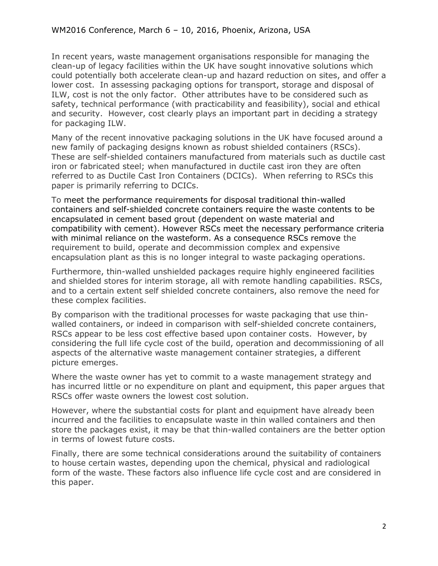In recent years, waste management organisations responsible for managing the clean-up of legacy facilities within the UK have sought innovative solutions which could potentially both accelerate clean-up and hazard reduction on sites, and offer a lower cost. In assessing packaging options for transport, storage and disposal of ILW, cost is not the only factor. Other attributes have to be considered such as safety, technical performance (with practicability and feasibility), social and ethical and security. However, cost clearly plays an important part in deciding a strategy for packaging ILW.

Many of the recent innovative packaging solutions in the UK have focused around a new family of packaging designs known as robust shielded containers (RSCs). These are self-shielded containers manufactured from materials such as ductile cast iron or fabricated steel; when manufactured in ductile cast iron they are often referred to as Ductile Cast Iron Containers (DCICs). When referring to RSCs this paper is primarily referring to DCICs.

To meet the performance requirements for disposal traditional thin-walled containers and self-shielded concrete containers require the waste contents to be encapsulated in cement based grout (dependent on waste material and compatibility with cement). However RSCs meet the necessary performance criteria with minimal reliance on the wasteform. As a consequence RSCs remove the requirement to build, operate and decommission complex and expensive encapsulation plant as this is no longer integral to waste packaging operations.

Furthermore, thin-walled unshielded packages require highly engineered facilities and shielded stores for interim storage, all with remote handling capabilities. RSCs, and to a certain extent self shielded concrete containers, also remove the need for these complex facilities.

By comparison with the traditional processes for waste packaging that use thinwalled containers, or indeed in comparison with self-shielded concrete containers, RSCs appear to be less cost effective based upon container costs. However, by considering the full life cycle cost of the build, operation and decommissioning of all aspects of the alternative waste management container strategies, a different picture emerges.

Where the waste owner has yet to commit to a waste management strategy and has incurred little or no expenditure on plant and equipment, this paper argues that RSCs offer waste owners the lowest cost solution.

However, where the substantial costs for plant and equipment have already been incurred and the facilities to encapsulate waste in thin walled containers and then store the packages exist, it may be that thin-walled containers are the better option in terms of lowest future costs.

Finally, there are some technical considerations around the suitability of containers to house certain wastes, depending upon the chemical, physical and radiological form of the waste. These factors also influence life cycle cost and are considered in this paper.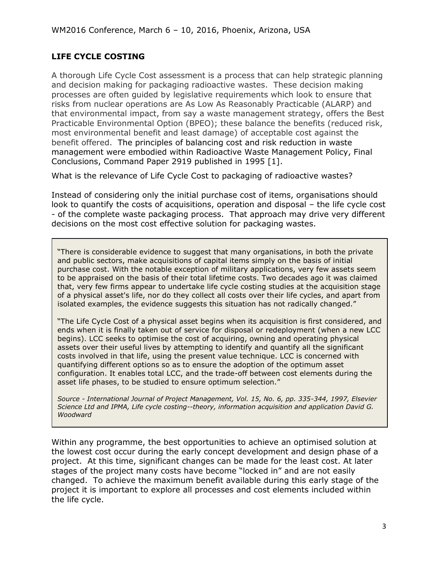# **LIFE CYCLE COSTING**

A thorough Life Cycle Cost assessment is a process that can help strategic planning and decision making for packaging radioactive wastes. These decision making processes are often guided by legislative requirements which look to ensure that risks from nuclear operations are As Low As Reasonably Practicable (ALARP) and that environmental impact, from say a waste management strategy, offers the Best Practicable Environmental Option (BPEO); these balance the benefits (reduced risk, most environmental benefit and least damage) of acceptable cost against the benefit offered. The principles of balancing cost and risk reduction in waste management were embodied within Radioactive Waste Management Policy, Final Conclusions, Command Paper 2919 published in 1995 [1].

What is the relevance of Life Cycle Cost to packaging of radioactive wastes?

Instead of considering only the initial purchase cost of items, organisations should look to quantify the costs of acquisitions, operation and disposal – the life cycle cost - of the complete waste packaging process. That approach may drive very different decisions on the most cost effective solution for packaging wastes.

"There is considerable evidence to suggest that many organisations, in both the private and public sectors, make acquisitions of capital items simply on the basis of initial purchase cost. With the notable exception of military applications, very few assets seem to be appraised on the basis of their total lifetime costs. Two decades ago it was claimed that, very few firms appear to undertake life cycle costing studies at the acquisition stage of a physical asset's life, nor do they collect all costs over their life cycles, and apart from isolated examples, the evidence suggests this situation has not radically changed."

"The Life Cycle Cost of a physical asset begins when its acquisition is first considered, and ends when it is finally taken out of service for disposal or redeployment (when a new LCC begins). LCC seeks to optimise the cost of acquiring, owning and operating physical assets over their useful lives by attempting to identify and quantify all the significant costs involved in that life, using the present value technique. LCC is concerned with quantifying different options so as to ensure the adoption of the optimum asset configuration. It enables total LCC, and the trade-off between cost elements during the asset life phases, to be studied to ensure optimum selection."

*Source - International Journal of Project Management, Vol. 15, No. 6, pp. 335-344, 1997, Elsevier Science Ltd and IPMA, Life cycle costing--theory, information acquisition and application David G. Woodward*

Within any programme, the best opportunities to achieve an optimised solution at the lowest cost occur during the early concept development and design phase of a project. At this time, significant changes can be made for the least cost. At later stages of the project many costs have become "locked in" and are not easily changed. To achieve the maximum benefit available during this early stage of the project it is important to explore all processes and cost elements included within the life cycle.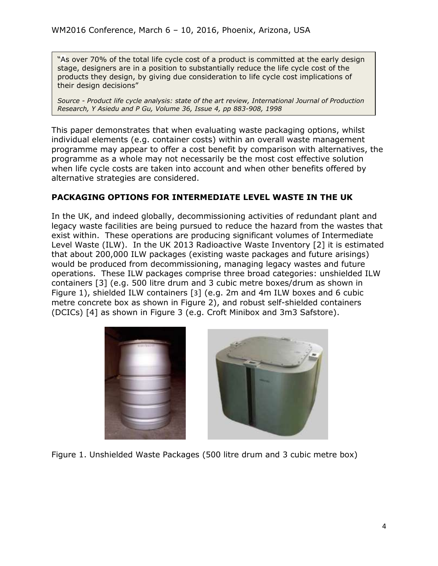"As over 70% of the total life cycle cost of a product is committed at the early design stage, designers are in a position to substantially reduce the life cycle cost of the products they design, by giving due consideration to life cycle cost implications of their design decisions"

*Source - Product life cycle analysis: state of the art review, International Journal of Production Research, Y Asiedu and P Gu, [Volume 36,](http://www.tandfonline.com/loi/tprs20?open=36#vol_36) [Issue 4,](http://www.tandfonline.com/toc/tprs20/36/4) pp 883-908, 1998*

This paper demonstrates that when evaluating waste packaging options, whilst individual elements (e.g. container costs) within an overall waste management programme may appear to offer a cost benefit by comparison with alternatives, the programme as a whole may not necessarily be the most cost effective solution when life cycle costs are taken into account and when other benefits offered by alternative strategies are considered.

# **PACKAGING OPTIONS FOR INTERMEDIATE LEVEL WASTE IN THE UK**

In the UK, and indeed globally, decommissioning activities of redundant plant and legacy waste facilities are being pursued to reduce the hazard from the wastes that exist within. These operations are producing significant volumes of Intermediate Level Waste (ILW). In the UK 2013 Radioactive Waste Inventory [2] it is estimated that about 200,000 ILW packages (existing waste packages and future arisings) would be produced from decommissioning, managing legacy wastes and future operations. These ILW packages comprise three broad categories: unshielded ILW containers [3] (e.g. 500 litre drum and 3 cubic metre boxes/drum as shown in Figure 1), shielded ILW containers [[3](#page-3-0)] (e.g. 2m and 4m ILW boxes and 6 cubic metre concrete box as shown in Figure 2), and robust self-shielded containers (DCICs) [4] as shown in Figure 3 (e.g. Croft Minibox and 3m3 Safstore).

<span id="page-3-0"></span>



Figure 1. Unshielded Waste Packages (500 litre drum and 3 cubic metre box)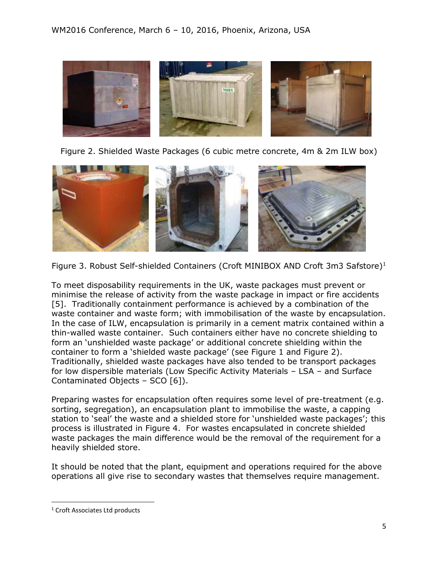





Figure 3. Robust Self-shielded Containers (Croft MINIBOX AND Croft 3m3 Safstore)<sup>1</sup>

<span id="page-4-0"></span>To meet disposability requirements in the UK, waste packages must prevent or minimise the release of activity from the waste package in impact or fire accidents [5]. Traditionally containment performance is achieved by a combination of the waste container and waste form; with immobilisation of the waste by encapsulation. In the case of ILW, encapsulation is primarily in a cement matrix contained within a thin-walled waste container. Such containers either have no concrete shielding to form an 'unshielded waste package' or additional concrete shielding within the container to form a 'shielded waste package' (see Figure 1 and Figure 2). Traditionally, shielded waste packages have also tended to be transport packages for low dispersible materials (Low Specific Activity Materials – LSA – and Surface Contaminated Objects – SCO [6]).

Preparing wastes for encapsulation often requires some level of pre-treatment (e.g. sorting, segregation), an encapsulation plant to immobilise the waste, a capping station to 'seal' the waste and a shielded store for 'unshielded waste packages'; this process is illustrated in Figure 4. For wastes encapsulated in concrete shielded waste packages the main difference would be the removal of the requirement for a heavily shielded store.

It should be noted that the plant, equipment and operations required for the above operations all give rise to secondary wastes that themselves require management.

 $\overline{\phantom{a}}$ 

<sup>&</sup>lt;sup>1</sup> Croft Associates Ltd products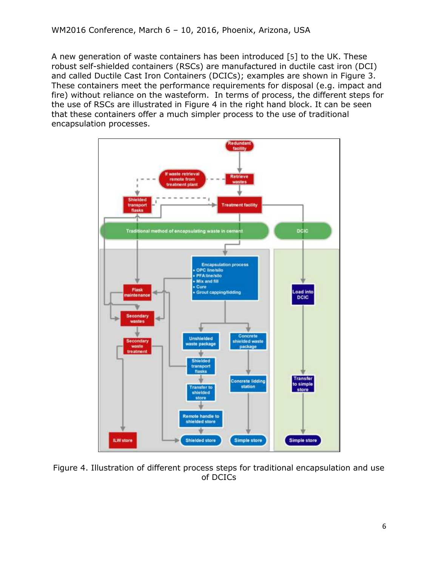A new generation of waste containers has been introduced [[5](#page-4-0)] to the UK. These robust self-shielded containers (RSCs) are manufactured in ductile cast iron (DCI) and called Ductile Cast Iron Containers (DCICs); examples are shown in Figure 3. These containers meet the performance requirements for disposal (e.g. impact and fire) without reliance on the wasteform. In terms of process, the different steps for the use of RSCs are illustrated in Figure 4 in the right hand block. It can be seen that these containers offer a much simpler process to the use of traditional encapsulation processes.



Figure 4. Illustration of different process steps for traditional encapsulation and use of DCICs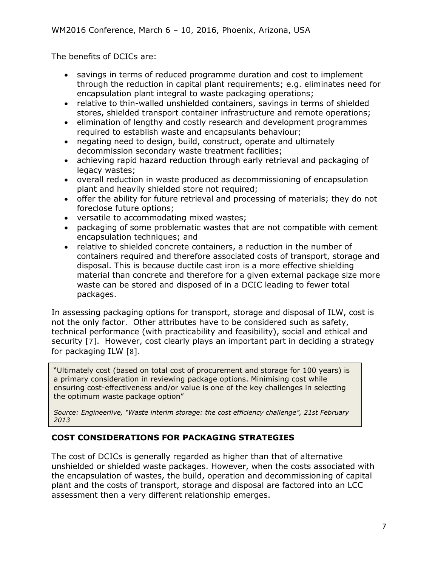The benefits of DCICs are:

- savings in terms of reduced programme duration and cost to implement through the reduction in capital plant requirements; e.g. eliminates need for encapsulation plant integral to waste packaging operations;
- relative to thin-walled unshielded containers, savings in terms of shielded stores, shielded transport container infrastructure and remote operations;
- elimination of lengthy and costly research and development programmes required to establish waste and encapsulants behaviour;
- negating need to design, build, construct, operate and ultimately decommission secondary waste treatment facilities;
- achieving rapid hazard reduction through early retrieval and packaging of legacy wastes;
- overall reduction in waste produced as decommissioning of encapsulation plant and heavily shielded store not required;
- offer the ability for future retrieval and processing of materials; they do not foreclose future options;
- versatile to accommodating mixed wastes;
- packaging of some problematic wastes that are not compatible with cement encapsulation techniques; and
- relative to shielded concrete containers, a reduction in the number of containers required and therefore associated costs of transport, storage and disposal. This is because ductile cast iron is a more effective shielding material than concrete and therefore for a given external package size more waste can be stored and disposed of in a DCIC leading to fewer total packages.

In assessing packaging options for transport, storage and disposal of ILW, cost is not the only factor. Other attributes have to be considered such as safety, technical performance (with practicability and feasibility), social and ethical and security [7]. However, cost clearly plays an important part in deciding a strategy for packaging ILW [8].

"Ultimately cost (based on total cost of procurement and storage for 100 years) is a primary consideration in reviewing package options. Minimising cost while ensuring cost-effectiveness and/or value is one of the key challenges in selecting the optimum waste package option"

*Source: Engineerlive, "Waste interim storage: the cost efficiency challenge", 21st February 2013* 

# **COST CONSIDERATIONS FOR PACKAGING STRATEGIES**

The cost of DCICs is generally regarded as higher than that of alternative unshielded or shielded waste packages. However, when the costs associated with the encapsulation of wastes, the build, operation and decommissioning of capital plant and the costs of transport, storage and disposal are factored into an LCC assessment then a very different relationship emerges.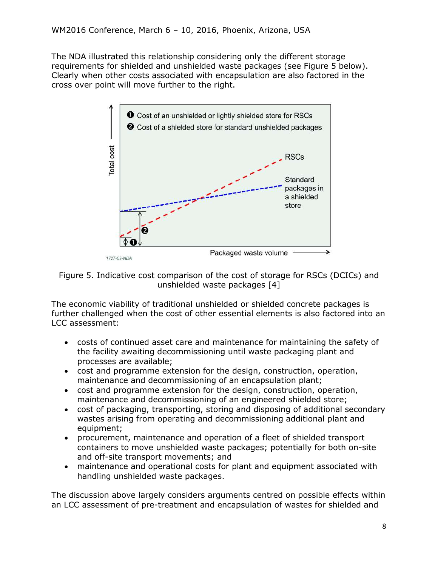The NDA illustrated this relationship considering only the different storage requirements for shielded and unshielded waste packages (see Figure 5 below). Clearly when other costs associated with encapsulation are also factored in the cross over point will move further to the right.



Figure 5. Indicative cost comparison of the cost of storage for RSCs (DCICs) and unshielded waste packages [4]

The economic viability of traditional unshielded or shielded concrete packages is further challenged when the cost of other essential elements is also factored into an LCC assessment:

- costs of continued asset care and maintenance for maintaining the safety of the facility awaiting decommissioning until waste packaging plant and processes are available;
- cost and programme extension for the design, construction, operation, maintenance and decommissioning of an encapsulation plant;
- cost and programme extension for the design, construction, operation, maintenance and decommissioning of an engineered shielded store;
- cost of packaging, transporting, storing and disposing of additional secondary wastes arising from operating and decommissioning additional plant and equipment;
- procurement, maintenance and operation of a fleet of shielded transport containers to move unshielded waste packages; potentially for both on-site and off-site transport movements; and
- maintenance and operational costs for plant and equipment associated with handling unshielded waste packages.

The discussion above largely considers arguments centred on possible effects within an LCC assessment of pre-treatment and encapsulation of wastes for shielded and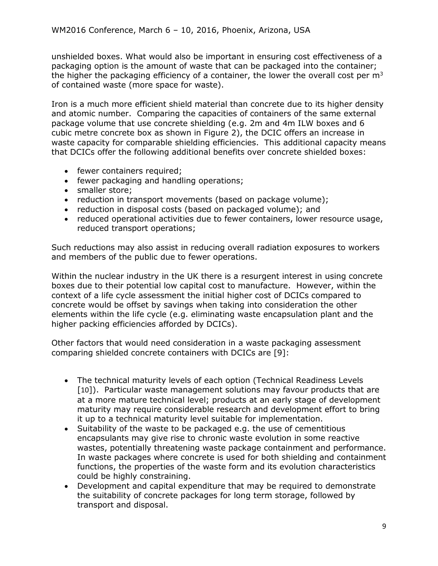unshielded boxes. What would also be important in ensuring cost effectiveness of a packaging option is the amount of waste that can be packaged into the container; the higher the packaging efficiency of a container, the lower the overall cost per  $m<sup>3</sup>$ of contained waste (more space for waste).

Iron is a much more efficient shield material than concrete due to its higher density and atomic number. Comparing the capacities of containers of the same external package volume that use concrete shielding (e.g. 2m and 4m ILW boxes and 6 cubic metre concrete box as shown in Figure 2), the DCIC offers an increase in waste capacity for comparable shielding efficiencies. This additional capacity means that DCICs offer the following additional benefits over concrete shielded boxes:

- fewer containers required;
- fewer packaging and handling operations;
- smaller store:
- reduction in transport movements (based on package volume);
- reduction in disposal costs (based on packaged volume); and
- reduced operational activities due to fewer containers, lower resource usage, reduced transport operations;

Such reductions may also assist in reducing overall radiation exposures to workers and members of the public due to fewer operations.

Within the nuclear industry in the UK there is a resurgent interest in using concrete boxes due to their potential low capital cost to manufacture. However, within the context of a life cycle assessment the initial higher cost of DCICs compared to concrete would be offset by savings when taking into consideration the other elements within the life cycle (e.g. eliminating waste encapsulation plant and the higher packing efficiencies afforded by DCICs).

Other factors that would need consideration in a waste packaging assessment comparing shielded concrete containers with DCICs are [9]:

- The technical maturity levels of each option (Technical Readiness Levels [10]). Particular waste management solutions may favour products that are at a more mature technical level; products at an early stage of development maturity may require considerable research and development effort to bring it up to a technical maturity level suitable for implementation.
- Suitability of the waste to be packaged e.g. the use of cementitious encapsulants may give rise to chronic waste evolution in some reactive wastes, potentially threatening waste package containment and performance. In waste packages where concrete is used for both shielding and containment functions, the properties of the waste form and its evolution characteristics could be highly constraining.
- Development and capital expenditure that may be required to demonstrate the suitability of concrete packages for long term storage, followed by transport and disposal.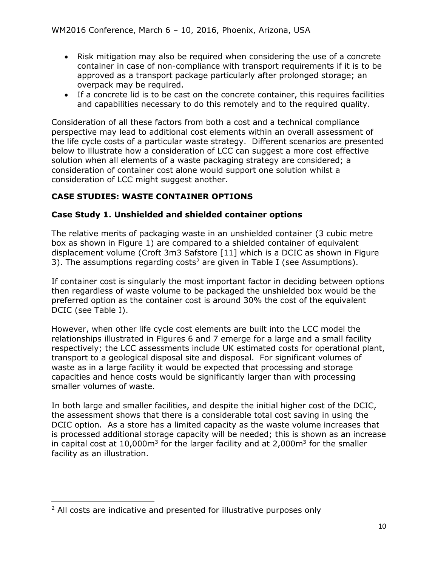- Risk mitigation may also be required when considering the use of a concrete container in case of non-compliance with transport requirements if it is to be approved as a transport package particularly after prolonged storage; an overpack may be required.
- If a concrete lid is to be cast on the concrete container, this requires facilities and capabilities necessary to do this remotely and to the required quality.

Consideration of all these factors from both a cost and a technical compliance perspective may lead to additional cost elements within an overall assessment of the life cycle costs of a particular waste strategy. Different scenarios are presented below to illustrate how a consideration of LCC can suggest a more cost effective solution when all elements of a waste packaging strategy are considered; a consideration of container cost alone would support one solution whilst a consideration of LCC might suggest another.

# **CASE STUDIES: WASTE CONTAINER OPTIONS**

# **Case Study 1. Unshielded and shielded container options**

<span id="page-9-0"></span>The relative merits of packaging waste in an unshielded container (3 cubic metre box as shown in Figure 1) are compared to a shielded container of equivalent displacement volume (Croft 3m3 Safstore [11] which is a DCIC as shown in Figure 3). The assumptions regarding costs<sup>2</sup> are given in Table I (see Assumptions).

If container cost is singularly the most important factor in deciding between options then regardless of waste volume to be packaged the unshielded box would be the preferred option as the container cost is around 30% the cost of the equivalent DCIC (see Table I).

However, when other life cycle cost elements are built into the LCC model the relationships illustrated in Figures 6 and 7 emerge for a large and a small facility respectively; the LCC assessments include UK estimated costs for operational plant, transport to a geological disposal site and disposal. For significant volumes of waste as in a large facility it would be expected that processing and storage capacities and hence costs would be significantly larger than with processing smaller volumes of waste.

In both large and smaller facilities, and despite the initial higher cost of the DCIC, the assessment shows that there is a considerable total cost saving in using the DCIC option. As a store has a limited capacity as the waste volume increases that is processed additional storage capacity will be needed; this is shown as an increase in capital cost at 10,000 $m<sup>3</sup>$  for the larger facility and at 2,000 $m<sup>3</sup>$  for the smaller facility as an illustration.

 $\overline{\phantom{a}}$ 

 $2$  All costs are indicative and presented for illustrative purposes only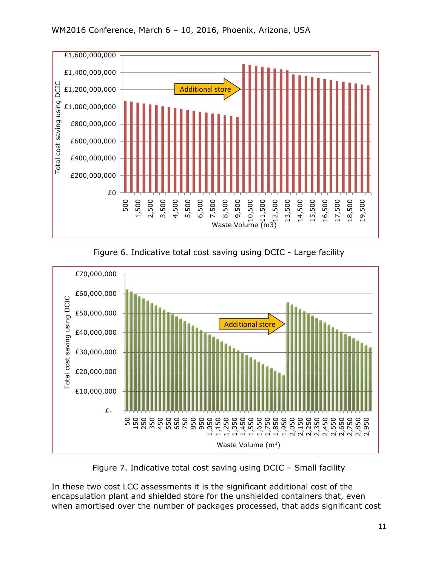

Figure 6. Indicative total cost saving using DCIC - Large facility



Figure 7. Indicative total cost saving using DCIC – Small facility

In these two cost LCC assessments it is the significant additional cost of the encapsulation plant and shielded store for the unshielded containers that, even when amortised over the number of packages processed, that adds significant cost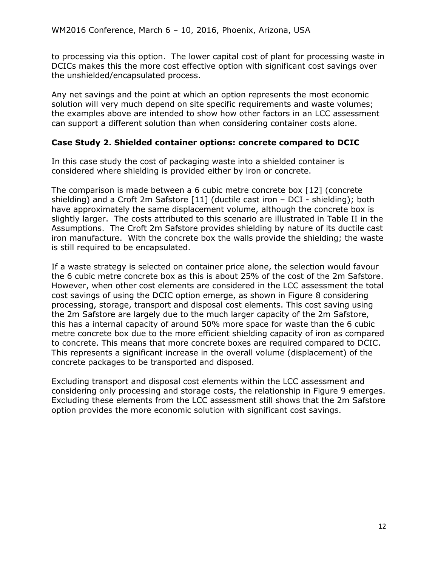to processing via this option. The lower capital cost of plant for processing waste in DCICs makes this the more cost effective option with significant cost savings over the unshielded/encapsulated process.

Any net savings and the point at which an option represents the most economic solution will very much depend on site specific requirements and waste volumes; the examples above are intended to show how other factors in an LCC assessment can support a different solution than when considering container costs alone.

#### **Case Study 2. Shielded container options: concrete compared to DCIC**

In this case study the cost of packaging waste into a shielded container is considered where shielding is provided either by iron or concrete.

The comparison is made between a 6 cubic metre concrete box [12] (concrete shielding) and a Croft 2m Safstore [\[11\]](#page-9-0) (ductile cast iron – DCI - shielding); both have approximately the same displacement volume, although the concrete box is slightly larger. The costs attributed to this scenario are illustrated in Table II in the Assumptions. The Croft 2m Safstore provides shielding by nature of its ductile cast iron manufacture. With the concrete box the walls provide the shielding; the waste is still required to be encapsulated.

If a waste strategy is selected on container price alone, the selection would favour the 6 cubic metre concrete box as this is about 25% of the cost of the 2m Safstore. However, when other cost elements are considered in the LCC assessment the total cost savings of using the DCIC option emerge, as shown in Figure 8 considering processing, storage, transport and disposal cost elements. This cost saving using the 2m Safstore are largely due to the much larger capacity of the 2m Safstore, this has a internal capacity of around 50% more space for waste than the 6 cubic metre concrete box due to the more efficient shielding capacity of iron as compared to concrete. This means that more concrete boxes are required compared to DCIC. This represents a significant increase in the overall volume (displacement) of the concrete packages to be transported and disposed.

Excluding transport and disposal cost elements within the LCC assessment and considering only processing and storage costs, the relationship in Figure 9 emerges. Excluding these elements from the LCC assessment still shows that the 2m Safstore option provides the more economic solution with significant cost savings.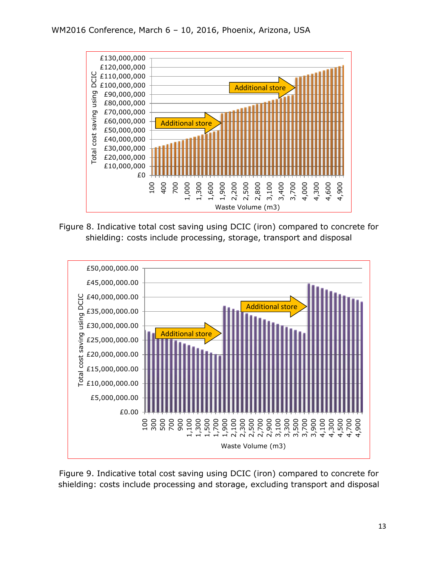

Figure 8. Indicative total cost saving using DCIC (iron) compared to concrete for shielding: costs include processing, storage, transport and disposal



Figure 9. Indicative total cost saving using DCIC (iron) compared to concrete for shielding: costs include processing and storage, excluding transport and disposal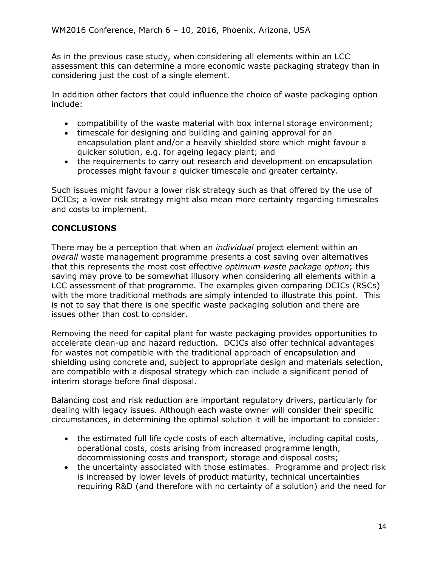As in the previous case study, when considering all elements within an LCC assessment this can determine a more economic waste packaging strategy than in considering just the cost of a single element.

In addition other factors that could influence the choice of waste packaging option include:

- compatibility of the waste material with box internal storage environment;
- timescale for designing and building and gaining approval for an encapsulation plant and/or a heavily shielded store which might favour a quicker solution, e.g. for ageing legacy plant; and
- the requirements to carry out research and development on encapsulation processes might favour a quicker timescale and greater certainty.

Such issues might favour a lower risk strategy such as that offered by the use of DCICs; a lower risk strategy might also mean more certainty regarding timescales and costs to implement.

# **CONCLUSIONS**

There may be a perception that when an *individual* project element within an *overall* waste management programme presents a cost saving over alternatives that this represents the most cost effective *optimum waste package option*; this saving may prove to be somewhat illusory when considering all elements within a LCC assessment of that programme. The examples given comparing DCICs (RSCs) with the more traditional methods are simply intended to illustrate this point. This is not to say that there is one specific waste packaging solution and there are issues other than cost to consider.

Removing the need for capital plant for waste packaging provides opportunities to accelerate clean-up and hazard reduction. DCICs also offer technical advantages for wastes not compatible with the traditional approach of encapsulation and shielding using concrete and, subject to appropriate design and materials selection, are compatible with a disposal strategy which can include a significant period of interim storage before final disposal.

Balancing cost and risk reduction are important regulatory drivers, particularly for dealing with legacy issues. Although each waste owner will consider their specific circumstances, in determining the optimal solution it will be important to consider:

- the estimated full life cycle costs of each alternative, including capital costs, operational costs, costs arising from increased programme length, decommissioning costs and transport, storage and disposal costs;
- the uncertainty associated with those estimates. Programme and project risk is increased by lower levels of product maturity, technical uncertainties requiring R&D (and therefore with no certainty of a solution) and the need for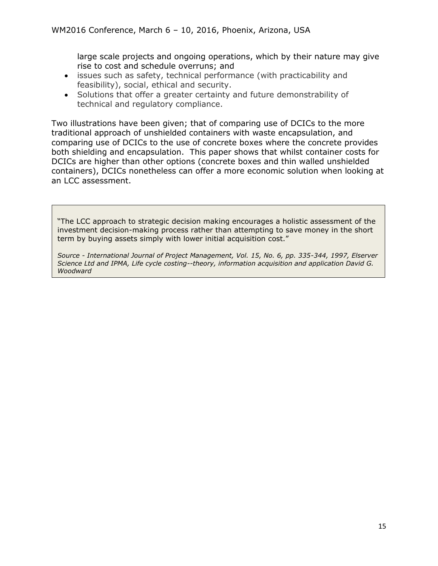large scale projects and ongoing operations, which by their nature may give rise to cost and schedule overruns; and

- issues such as safety, technical performance (with practicability and feasibility), social, ethical and security.
- Solutions that offer a greater certainty and future demonstrability of technical and regulatory compliance.

Two illustrations have been given; that of comparing use of DCICs to the more traditional approach of unshielded containers with waste encapsulation, and comparing use of DCICs to the use of concrete boxes where the concrete provides both shielding and encapsulation. This paper shows that whilst container costs for DCICs are higher than other options (concrete boxes and thin walled unshielded containers), DCICs nonetheless can offer a more economic solution when looking at an LCC assessment.

"The LCC approach to strategic decision making encourages a holistic assessment of the investment decision-making process rather than attempting to save money in the short term by buying assets simply with lower initial acquisition cost."

*Source - International Journal of Project Management, Vol. 15, No. 6, pp. 335-344, 1997, Elserver Science Ltd and IPMA, Life cycle costing--theory, information acquisition and application David G. Woodward*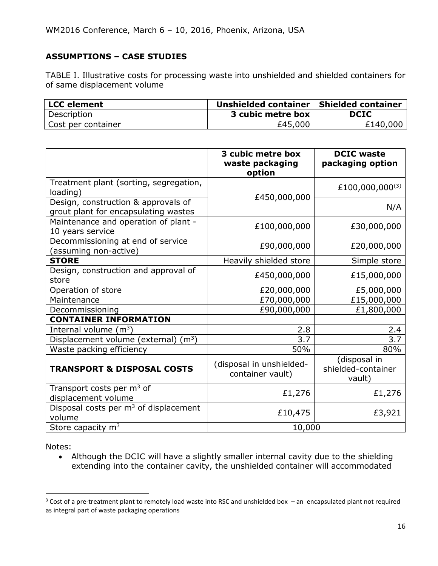# **ASSUMPTIONS – CASE STUDIES**

TABLE I. Illustrative costs for processing waste into unshielded and shielded containers for of same displacement volume

| <b>LCC</b> element | Unshielded container | <b>Shielded container</b> |
|--------------------|----------------------|---------------------------|
| Description        | 3 cubic metre box    | <b>DCIC</b>               |
| Cost per container | £45,000              | £140,000                  |

|                                                                             | 3 cubic metre box<br>waste packaging<br>option | <b>DCIC</b> waste<br>packaging option        |
|-----------------------------------------------------------------------------|------------------------------------------------|----------------------------------------------|
| Treatment plant (sorting, segregation,<br>loading)                          | £450,000,000                                   | £100,000,000 <sup>(3)</sup>                  |
| Design, construction & approvals of<br>grout plant for encapsulating wastes |                                                | N/A                                          |
| Maintenance and operation of plant -<br>10 years service                    | £100,000,000                                   | £30,000,000                                  |
| Decommissioning at end of service<br>(assuming non-active)                  | £90,000,000                                    | £20,000,000                                  |
| <b>STORE</b>                                                                | Heavily shielded store                         | Simple store                                 |
| Design, construction and approval of<br>store                               | £450,000,000                                   | £15,000,000                                  |
| Operation of store                                                          | £20,000,000                                    | £5,000,000                                   |
| Maintenance                                                                 | £70,000,000                                    | £15,000,000                                  |
| Decommissioning                                                             | £90,000,000                                    | £1,800,000                                   |
| <b>CONTAINER INFORMATION</b>                                                |                                                |                                              |
| Internal volume $(m^3)$                                                     | 2.8                                            | 2.4                                          |
| Displacement volume (external) $(m3)$                                       | 3.7                                            | 3.7                                          |
| Waste packing efficiency                                                    | 50%                                            | 80%                                          |
| <b>TRANSPORT &amp; DISPOSAL COSTS</b>                                       | (disposal in unshielded-<br>container vault)   | (disposal in<br>shielded-container<br>vault) |
| Transport costs per $m3$ of<br>displacement volume                          | £1,276                                         | £1,276                                       |
| Disposal costs per $m3$ of displacement<br>volume                           | £10,475                                        | £3,921                                       |
| Store capacity $m3$                                                         | 10,000                                         |                                              |

Notes:

l

 Although the DCIC will have a slightly smaller internal cavity due to the shielding extending into the container cavity, the unshielded container will accommodated

 $3$  Cost of a pre-treatment plant to remotely load waste into RSC and unshielded box – an encapsulated plant not required as integral part of waste packaging operations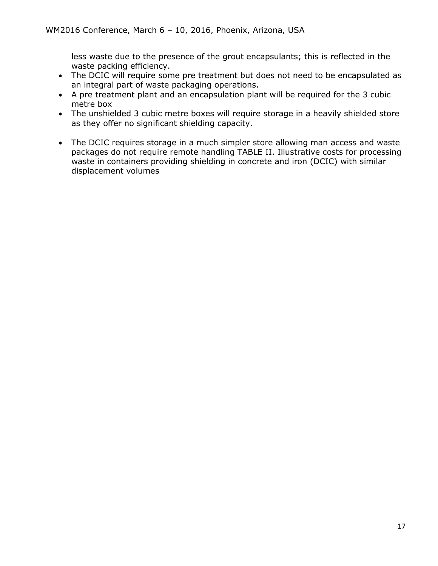less waste due to the presence of the grout encapsulants; this is reflected in the waste packing efficiency.

- The DCIC will require some pre treatment but does not need to be encapsulated as an integral part of waste packaging operations.
- A pre treatment plant and an encapsulation plant will be required for the 3 cubic metre box
- The unshielded 3 cubic metre boxes will require storage in a heavily shielded store as they offer no significant shielding capacity.
- The DCIC requires storage in a much simpler store allowing man access and waste packages do not require remote handling TABLE II. Illustrative costs for processing waste in containers providing shielding in concrete and iron (DCIC) with similar displacement volumes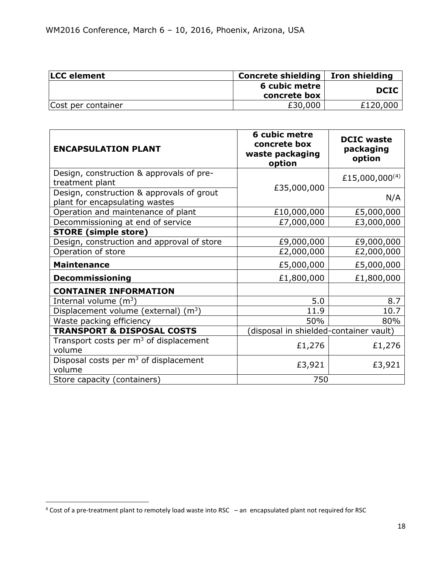| <b>LCC</b> element | Concrete shielding   Iron shielding |             |
|--------------------|-------------------------------------|-------------|
|                    | 6 cubic metre                       | <b>DCIC</b> |
|                    | concrete box                        |             |
| Cost per container | £30,000                             | £120,000    |

| <b>ENCAPSULATION PLANT</b>                                                  | 6 cubic metre<br>concrete box<br>waste packaging<br>option | <b>DCIC waste</b><br>packaging<br>option |
|-----------------------------------------------------------------------------|------------------------------------------------------------|------------------------------------------|
| Design, construction & approvals of pre-<br>treatment plant                 | £35,000,000                                                | £15,000,000 <sup>(4)</sup>               |
| Design, construction & approvals of grout<br>plant for encapsulating wastes |                                                            | N/A                                      |
| Operation and maintenance of plant                                          | £10,000,000                                                | £5,000,000                               |
| Decommissioning at end of service                                           | £7,000,000                                                 | £3,000,000                               |
| <b>STORE (simple store)</b>                                                 |                                                            |                                          |
| Design, construction and approval of store                                  | £9,000,000                                                 | £9,000,000                               |
| Operation of store                                                          | £2,000,000                                                 | £2,000,000                               |
| <b>Maintenance</b>                                                          | £5,000,000                                                 | £5,000,000                               |
| <b>Decommissioning</b>                                                      | £1,800,000                                                 | £1,800,000                               |
| <b>CONTAINER INFORMATION</b>                                                |                                                            |                                          |
| Internal volume $(m^3)$                                                     | 5.0                                                        | 8.7                                      |
| Displacement volume (external) $(m3)$                                       | 11.9                                                       | 10.7                                     |
| Waste packing efficiency                                                    | 50%                                                        | 80%                                      |
| <b>TRANSPORT &amp; DISPOSAL COSTS</b>                                       | (disposal in shielded-container vault)                     |                                          |
| Transport costs per $m3$ of displacement<br>volume                          | £1,276                                                     | £1,276                                   |
| Disposal costs per $m3$ of displacement<br>volume                           | £3,921                                                     | £3,921                                   |
| Store capacity (containers)                                                 | 750                                                        |                                          |

 $\overline{\phantom{a}}$ 

<sup>4</sup> Cost of a pre-treatment plant to remotely load waste into RSC – an encapsulated plant not required for RSC